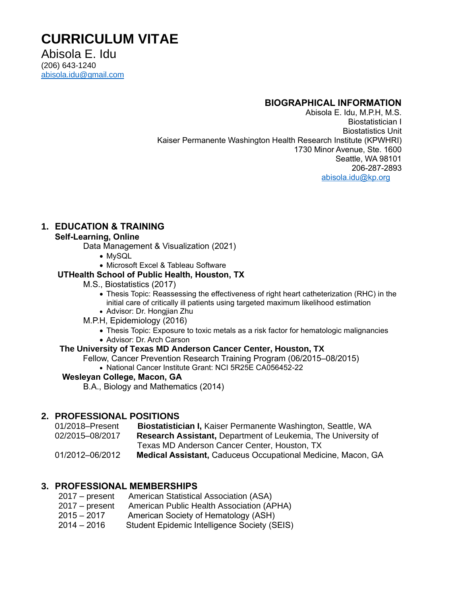# **CURRICULUM VITAE**

Abisola E. Idu (206) 643-1240 [abisola.idu@gmail.com](mailto:abisola.idu@gmail.com)

## **BIOGRAPHICAL INFORMATION**

Abisola E. Idu, M.P.H, M.S. Biostatistician I Biostatistics Unit Kaiser Permanente Washington Health Research Institute (KPWHRI) 1730 Minor Avenue, Ste. 1600 Seattle, WA 98101 206-287-2893 [abisola.idu@kp.org](mailto:abisola.idu@kp.org)

## **1. EDUCATION & TRAINING**

#### **Self-Learning, Online**

Data Management & Visualization (2021)

- MySQL
- Microsoft Excel & Tableau Software

#### **UTHealth School of Public Health, Houston, TX**

- M.S., Biostatistics (2017)
	- Thesis Topic: Reassessing the effectiveness of right heart catheterization (RHC) in the initial care of critically ill patients using targeted maximum likelihood estimation
- Advisor: Dr. Hongjian Zhu
- M.P.H, Epidemiology (2016)
	- Thesis Topic: Exposure to toxic metals as a risk factor for hematologic malignancies
	- Advisor: Dr. Arch Carson

#### **The University of Texas MD Anderson Cancer Center, Houston, TX**

Fellow, Cancer Prevention Research Training Program (06/2015–08/2015)

• National Cancer Institute Grant: NCI 5R25E CA056452-22

#### **Wesleyan College, Macon, GA**

B.A., Biology and Mathematics (2014)

## **2. PROFESSIONAL POSITIONS**

01/2018–Present **Biostatistician I,** Kaiser Permanente Washington, Seattle, WA 02/2015–08/2017 **Research Assistant,** Department of Leukemia, The University of Texas MD Anderson Cancer Center, Houston, TX

01/2012–06/2012 **Medical Assistant,** Caduceus Occupational Medicine, Macon, GA

## **3. PROFESSIONAL MEMBERSHIPS**

| $2017 - present$ | American Statistical Association (ASA)       |
|------------------|----------------------------------------------|
| $2017 - present$ | American Public Health Association (APHA)    |
| $2015 - 2017$    | American Society of Hematology (ASH)         |
| $2014 - 2016$    | Student Epidemic Intelligence Society (SEIS) |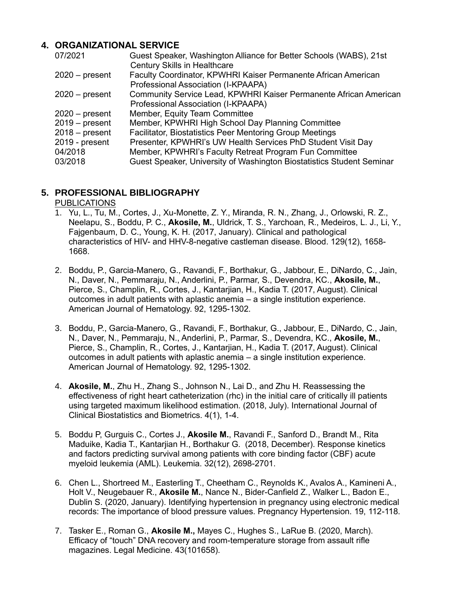## **4. ORGANIZATIONAL SERVICE**

| Guest Speaker, Washington Alliance for Better Schools (WABS), 21st    |
|-----------------------------------------------------------------------|
| <b>Century Skills in Healthcare</b>                                   |
| Faculty Coordinator, KPWHRI Kaiser Permanente African American        |
| Professional Association (I-KPAAPA)                                   |
| Community Service Lead, KPWHRI Kaiser Permanente African American     |
| Professional Association (I-KPAAPA)                                   |
| Member, Equity Team Committee                                         |
| Member, KPWHRI High School Day Planning Committee                     |
| <b>Facilitator, Biostatistics Peer Mentoring Group Meetings</b>       |
| Presenter, KPWHRI's UW Health Services PhD Student Visit Day          |
| Member, KPWHRI's Faculty Retreat Program Fun Committee                |
| Guest Speaker, University of Washington Biostatistics Student Seminar |
|                                                                       |

# **5. PROFESSIONAL BIBLIOGRAPHY**

PUBLICATIONS

- 1. Yu, L., Tu, M., Cortes, J., Xu-Monette, Z. Y., Miranda, R. N., Zhang, J., Orlowski, R. Z., Neelapu, S., Boddu, P. C., **Akosile, M.**, Uldrick, T. S., Yarchoan, R., Medeiros, L. J., Li, Y., Fajgenbaum, D. C., Young, K. H. (2017, January). Clinical and pathological characteristics of HIV- and HHV-8-negative castleman disease. Blood. 129(12), 1658- 1668.
- 2. Boddu, P., Garcia-Manero, G., Ravandi, F., Borthakur, G., Jabbour, E., DiNardo, C., Jain, N., Daver, N., Pemmaraju, N., Anderlini, P., Parmar, S., Devendra, KC., **Akosile, M.**, Pierce, S., Champlin, R., Cortes, J., Kantarjian, H., Kadia T. (2017, August). Clinical outcomes in adult patients with aplastic anemia – a single institution experience. American Journal of Hematology. 92, 1295-1302.
- 3. Boddu, P., Garcia-Manero, G., Ravandi, F., Borthakur, G., Jabbour, E., DiNardo, C., Jain, N., Daver, N., Pemmaraju, N., Anderlini, P., Parmar, S., Devendra, KC., **Akosile, M.**, Pierce, S., Champlin, R., Cortes, J., Kantarjian, H., Kadia T. (2017, August). Clinical outcomes in adult patients with aplastic anemia – a single institution experience. American Journal of Hematology. 92, 1295-1302.
- 4. **Akosile, M.**, Zhu H., Zhang S., Johnson N., Lai D., and Zhu H. Reassessing the effectiveness of right heart catheterization (rhc) in the initial care of critically ill patients using targeted maximum likelihood estimation. (2018, July). International Journal of Clinical Biostatistics and Biometrics. 4(1), 1-4.
- 5. Boddu P, Gurguis C., Cortes J., **Akosile M.**, Ravandi F., Sanford D., Brandt M., Rita Maduike, Kadia T., Kantarjian H., Borthakur G. (2018, December). Response kinetics and factors predicting survival among patients with core binding factor (CBF) acute myeloid leukemia (AML). Leukemia. 32(12), 2698-2701.
- 6. Chen L., Shortreed M., Easterling T., Cheetham C., Reynolds K., Avalos A., Kamineni A., Holt V., Neugebauer R., **Akosile M.**, Nance N., Bider-Canfield Z., Walker L., Badon E., Dublin S. (2020, January). Identifying hypertension in pregnancy using electronic medical records: The importance of blood pressure values. Pregnancy Hypertension. 19, 112-118.
- 7. Tasker E., Roman G., **Akosile M.,** Mayes C., Hughes S., LaRue B. (2020, March). Efficacy of "touch" DNA recovery and room-temperature storage from assault rifle magazines. Legal Medicine. 43(101658).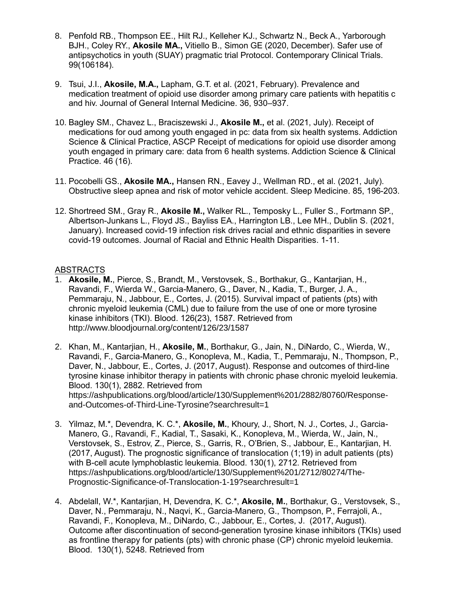- 8. Penfold RB., Thompson EE., Hilt RJ., Kelleher KJ., Schwartz N., Beck A., Yarborough BJH., Coley RY., **Akosile MA.,** Vitiello B., Simon GE (2020, December). Safer use of antipsychotics in youth (SUAY) pragmatic trial Protocol. Contemporary Clinical Trials. 99(106184).
- 9. Tsui, J.I., **Akosile, M.A.,** Lapham, G.T. et al. (2021, February). Prevalence and medication treatment of opioid use disorder among primary care patients with hepatitis c and hiv. Journal of General Internal Medicine. 36, 930–937.
- 10. Bagley SM., Chavez L., Braciszewski J., **Akosile M.,** et al. (2021, July). Receipt of medications for oud among youth engaged in pc: data from six health systems. Addiction Science & Clinical Practice, ASCP Receipt of medications for opioid use disorder among youth engaged in primary care: data from 6 health systems. Addiction Science & Clinical Practice. 46 (16).
- 11. Pocobelli GS., **Akosile MA.,** Hansen RN., Eavey J., Wellman RD., et al. (2021, July). Obstructive sleep apnea and risk of motor vehicle accident. Sleep Medicine. 85, 196-203.
- 12. Shortreed SM., Gray R., **Akosile M.,** Walker RL., Temposky L., Fuller S., Fortmann SP., Albertson-Junkans L., Floyd JS., Bayliss EA., Harrington LB., Lee MH., Dublin S. (2021, January). Increased covid-19 infection risk drives racial and ethnic disparities in severe covid-19 outcomes. Journal of Racial and Ethnic Health Disparities. 1-11.

## **ABSTRACTS**

- 1. **Akosile, M.**, Pierce, S., Brandt, M., Verstovsek, S., Borthakur, G., Kantarjian, H., Ravandi, F., Wierda W., Garcia-Manero, G., Daver, N., Kadia, T., Burger, J. A., Pemmaraju, N., Jabbour, E., Cortes, J. (2015). Survival impact of patients (pts) with chronic myeloid leukemia (CML) due to failure from the use of one or more tyrosine kinase inhibitors (TKI). Blood. 126(23), 1587. Retrieved from http://www.bloodjournal.org/content/126/23/1587
- 2. Khan, M., Kantarjian, H., **Akosile, M.**, Borthakur, G., Jain, N., DiNardo, C., Wierda, W., Ravandi, F., Garcia-Manero, G., Konopleva, M., Kadia, T., Pemmaraju, N., Thompson, P., Daver, N., Jabbour, E., Cortes, J. (2017, August). Response and outcomes of third-line tyrosine kinase inhibitor therapy in patients with chronic phase chronic myeloid leukemia. Blood. 130(1), 2882. Retrieved from https://ashpublications.org/blood/article/130/Supplement%201/2882/80760/Responseand-Outcomes-of-Third-Line-Tyrosine?searchresult=1
- 3. Yilmaz, M.\*, Devendra, K. C.\*, **Akosile, M.**, Khoury, J., Short, N. J., Cortes, J., Garcia-Manero, G., Ravandi, F., Kadial, T., Sasaki, K., Konopleva, M., Wierda, W., Jain, N., Verstovsek, S., Estrov, Z., Pierce, S., Garris, R., O'Brien, S., Jabbour, E., Kantarjian, H. (2017, August). The prognostic significance of translocation (1;19) in adult patients (pts) with B-cell acute lymphoblastic leukemia. Blood. 130(1), 2712. Retrieved from https://ashpublications.org/blood/article/130/Supplement%201/2712/80274/The-Prognostic-Significance-of-Translocation-1-19?searchresult=1
- 4. Abdelall, W.\*, Kantarjian, H, Devendra, K. C.\*, **Akosile, M.**, Borthakur, G., Verstovsek, S., Daver, N., Pemmaraju, N., Naqvi, K., Garcia-Manero, G., Thompson, P., Ferrajoli, A., Ravandi, F., Konopleva, M., DiNardo, C., Jabbour, E., Cortes, J. (2017, August). Outcome after discontinuation of second-generation tyrosine kinase inhibitors (TKIs) used as frontline therapy for patients (pts) with chronic phase (CP) chronic myeloid leukemia. Blood. 130(1), 5248. Retrieved from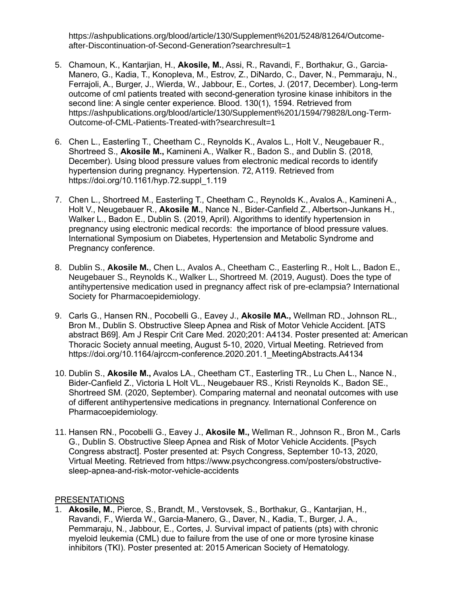https://ashpublications.org/blood/article/130/Supplement%201/5248/81264/Outcomeafter-Discontinuation-of-Second-Generation?searchresult=1

- 5. Chamoun, K., Kantarjian, H., **Akosile, M.**, Assi, R., Ravandi, F., Borthakur, G., Garcia-Manero, G., Kadia, T., Konopleva, M., Estrov, Z., DiNardo, C., Daver, N., Pemmaraju, N., Ferrajoli, A., Burger, J., Wierda, W., Jabbour, E., Cortes, J. (2017, December). Long-term outcome of cml patients treated with second-generation tyrosine kinase inhibitors in the second line: A single center experience. Blood. 130(1), 1594. Retrieved from https://ashpublications.org/blood/article/130/Supplement%201/1594/79828/Long-Term-Outcome-of-CML-Patients-Treated-with?searchresult=1
- 6. Chen L., Easterling T., Cheetham C., Reynolds K., Avalos L., Holt V., Neugebauer R., Shortreed S., **Akosile M.,** Kamineni A., Walker R., Badon S., and Dublin S. (2018, December). Using blood pressure values from electronic medical records to identify hypertension during pregnancy. Hypertension. 72, A119. Retrieved from https://doi.org/10.1161/hyp.72.suppl\_1.119
- 7. Chen L., Shortreed M., Easterling T., Cheetham C., Reynolds K., Avalos A., Kamineni A., Holt V., Neugebauer R., **Akosile M.**, Nance N., Bider-Canfield Z., Albertson-Junkans H., Walker L., Badon E., Dublin S. (2019, April). Algorithms to identify hypertension in pregnancy using electronic medical records: the importance of blood pressure values. International Symposium on Diabetes, Hypertension and Metabolic Syndrome and Pregnancy conference.
- 8. Dublin S., **Akosile M.**, Chen L., Avalos A., Cheetham C., Easterling R., Holt L., Badon E., Neugebauer S., Reynolds K., Walker L., Shortreed M. (2019, August). Does the type of antihypertensive medication used in pregnancy affect risk of pre-eclampsia? International Society for Pharmacoepidemiology.
- 9. Carls G., Hansen RN., Pocobelli G., Eavey J., **Akosile MA.,** Wellman RD., Johnson RL., Bron M., Dublin S. Obstructive Sleep Apnea and Risk of Motor Vehicle Accident. [ATS abstract B69]. Am J Respir Crit Care Med. 2020;201: A4134. Poster presented at: American Thoracic Society annual meeting, August 5-10, 2020, Virtual Meeting. Retrieved from https://doi.org/10.1164/ajrccm-conference.2020.201.1\_MeetingAbstracts.A4134
- 10. Dublin S., **Akosile M.,** Avalos LA., Cheetham CT., Easterling TR., Lu Chen L., Nance N., Bider-Canfield Z., Victoria L Holt VL., Neugebauer RS., Kristi Reynolds K., Badon SE., Shortreed SM. (2020, September). Comparing maternal and neonatal outcomes with use of different antihypertensive medications in pregnancy. International Conference on Pharmacoepidemiology.
- 11. Hansen RN., Pocobelli G., Eavey J., **Akosile M.,** Wellman R., Johnson R., Bron M., Carls G., Dublin S. Obstructive Sleep Apnea and Risk of Motor Vehicle Accidents. [Psych Congress abstract]. Poster presented at: Psych Congress, September 10-13, 2020, Virtual Meeting. Retrieved from https://www.psychcongress.com/posters/obstructivesleep-apnea-and-risk-motor-vehicle-accidents

## PRESENTATIONS

1. **Akosile, M.**, Pierce, S., Brandt, M., Verstovsek, S., Borthakur, G., Kantarjian, H., Ravandi, F., Wierda W., Garcia-Manero, G., Daver, N., Kadia, T., Burger, J. A., Pemmaraju, N., Jabbour, E., Cortes, J. Survival impact of patients (pts) with chronic myeloid leukemia (CML) due to failure from the use of one or more tyrosine kinase inhibitors (TKI). Poster presented at: 2015 American Society of Hematology.